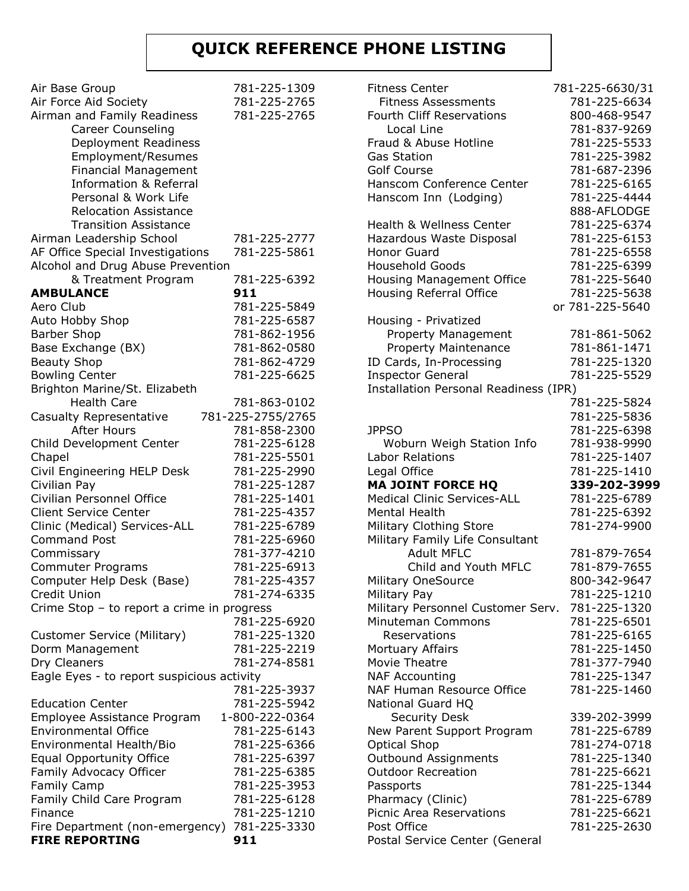## **QUICK REFERENCE PHONE LISTING**

| Air Base Group                                            | 781-225-1309                 |
|-----------------------------------------------------------|------------------------------|
| Air Force Aid Society                                     | 781-225-2765                 |
| Airman and Family Readiness                               | 781-225-2765                 |
| <b>Career Counseling</b>                                  |                              |
| Deployment Readiness                                      |                              |
| Employment/Resumes                                        |                              |
| <b>Financial Management</b>                               |                              |
| <b>Information &amp; Referral</b><br>Personal & Work Life |                              |
| <b>Relocation Assistance</b>                              |                              |
| <b>Transition Assistance</b>                              |                              |
| Airman Leadership School                                  | 781-225-2777                 |
| AF Office Special Investigations                          | 781-225-5861                 |
| Alcohol and Drug Abuse Prevention                         |                              |
| & Treatment Program                                       | 781-225-6392                 |
| <b>AMBULANCE</b>                                          | 911                          |
| Aero Club                                                 | 781-225-5849                 |
| Auto Hobby Shop                                           | 781-225-6587                 |
| <b>Barber Shop</b>                                        | 781-862-1956                 |
| Base Exchange (BX)                                        | 781-862-0580                 |
| <b>Beauty Shop</b>                                        | 781-862-4729                 |
| <b>Bowling Center</b>                                     | 781-225-6625                 |
| Brighton Marine/St. Elizabeth                             |                              |
| <b>Health Care</b>                                        | 781-863-0102                 |
| Casualty Representative                                   | 781-225-2755/2765            |
| <b>After Hours</b>                                        | 781-858-2300                 |
| Child Development Center                                  | 781-225-6128                 |
| Chapel                                                    | 781-225-5501                 |
| Civil Engineering HELP Desk                               | 781-225-2990                 |
| Civilian Pay<br>Civilian Personnel Office                 | 781-225-1287<br>781-225-1401 |
| <b>Client Service Center</b>                              | 781-225-4357                 |
| Clinic (Medical) Services-ALL                             | 781-225-6789                 |
| <b>Command Post</b>                                       | 781-225-6960                 |
| Commissary                                                | 781-377-4210                 |
| <b>Commuter Programs</b>                                  | 781-225-6913                 |
| Computer Help Desk (Base)                                 | 781-225-4357                 |
| Credit Union                                              | 781-274-6335                 |
| Crime Stop - to report a crime in progress                |                              |
|                                                           | 781-225-6920                 |
| Customer Service (Military)                               | 781-225-1320                 |
| Dorm Management                                           | 781-225-2219                 |
| Dry Cleaners                                              | 781-274-8581                 |
| Eagle Eyes - to report suspicious activity                |                              |
|                                                           | 781-225-3937                 |
| <b>Education Center</b>                                   | 781-225-5942                 |
| Employee Assistance Program                               | 1-800-222-0364               |
| <b>Environmental Office</b>                               | 781-225-6143                 |
| Environmental Health/Bio                                  | 781-225-6366                 |
| <b>Equal Opportunity Office</b>                           | 781-225-6397                 |
| Family Advocacy Officer                                   | 781-225-6385                 |
| <b>Family Camp</b>                                        | 781-225-3953                 |
| Family Child Care Program                                 | 781-225-6128<br>781-225-1210 |
| Finance<br>Fire Department (non-emergency)                | 781-225-3330                 |
| <b>FIRE REPORTING</b>                                     | 911                          |
|                                                           |                              |

| <b>Fitness Center</b>                                | 781-225-6630/31 |
|------------------------------------------------------|-----------------|
| <b>Fitness Assessments</b>                           | 781-225-6634    |
| <b>Fourth Cliff Reservations</b>                     | 800-468-9547    |
| Local Line                                           | 781-837-9269    |
| Fraud & Abuse Hotline                                | 781-225-5533    |
| <b>Gas Station</b>                                   | 781-225-3982    |
| <b>Golf Course</b>                                   | 781-687-2396    |
| Hanscom Conference Center                            | 781-225-6165    |
| Hanscom Inn (Lodging)                                | 781-225-4444    |
|                                                      | 888-AFLODGE     |
| <b>Health &amp; Wellness Center</b>                  | 781-225-6374    |
| Hazardous Waste Disposal                             | 781-225-6153    |
| <b>Honor Guard</b>                                   | 781-225-6558    |
| <b>Household Goods</b>                               | 781-225-6399    |
| <b>Housing Management Office</b>                     | 781-225-5640    |
| Housing Referral Office                              | 781-225-5638    |
|                                                      |                 |
|                                                      | or 781-225-5640 |
| Housing - Privatized                                 | 781-861-5062    |
| Property Management                                  |                 |
| Property Maintenance                                 | 781-861-1471    |
| ID Cards, In-Processing                              | 781-225-1320    |
| <b>Inspector General</b>                             | 781-225-5529    |
| Installation Personal Readiness (IPR)                |                 |
|                                                      | 781-225-5824    |
|                                                      | 781-225-5836    |
| <b>JPPSO</b>                                         | 781-225-6398    |
| Woburn Weigh Station Info                            | 781-938-9990    |
| <b>Labor Relations</b>                               | 781-225-1407    |
|                                                      |                 |
| Legal Office                                         | 781-225-1410    |
| <b>MA JOINT FORCE HQ</b>                             | 339-202-3999    |
| <b>Medical Clinic Services-ALL</b>                   | 781-225-6789    |
| Mental Health                                        | 781-225-6392    |
|                                                      | 781-274-9900    |
| Military Clothing Store                              |                 |
| Military Family Life Consultant<br><b>Adult MFLC</b> |                 |
| Child and Youth MFLC                                 | 781-879-7654    |
|                                                      | 781-879-7655    |
| <b>Military OneSource</b>                            | 800-342-9647    |
| Military Pay                                         | 781-225-1210    |
| Military Personnel Customer Serv.                    | 781-225-1320    |
| Minuteman Commons                                    | 781-225-6501    |
| Reservations                                         | 781-225-6165    |
| Mortuary Affairs                                     | 781-225-1450    |
| Movie Theatre                                        | 781-377-7940    |
| <b>NAF Accounting</b>                                | 781-225-1347    |
| NAF Human Resource Office                            | 781-225-1460    |
| <b>National Guard HQ</b>                             |                 |
| <b>Security Desk</b>                                 | 339-202-3999    |
| New Parent Support Program                           | 781-225-6789    |
| <b>Optical Shop</b>                                  | 781-274-0718    |
| Outbound Assignments                                 | 781-225-1340    |
| <b>Outdoor Recreation</b>                            | 781-225-6621    |
| Passports                                            | 781-225-1344    |
| Pharmacy (Clinic)                                    | 781-225-6789    |
| Picnic Area Reservations                             | 781-225-6621    |
| Post Office<br>Postal Service Center (General        | 781-225-2630    |